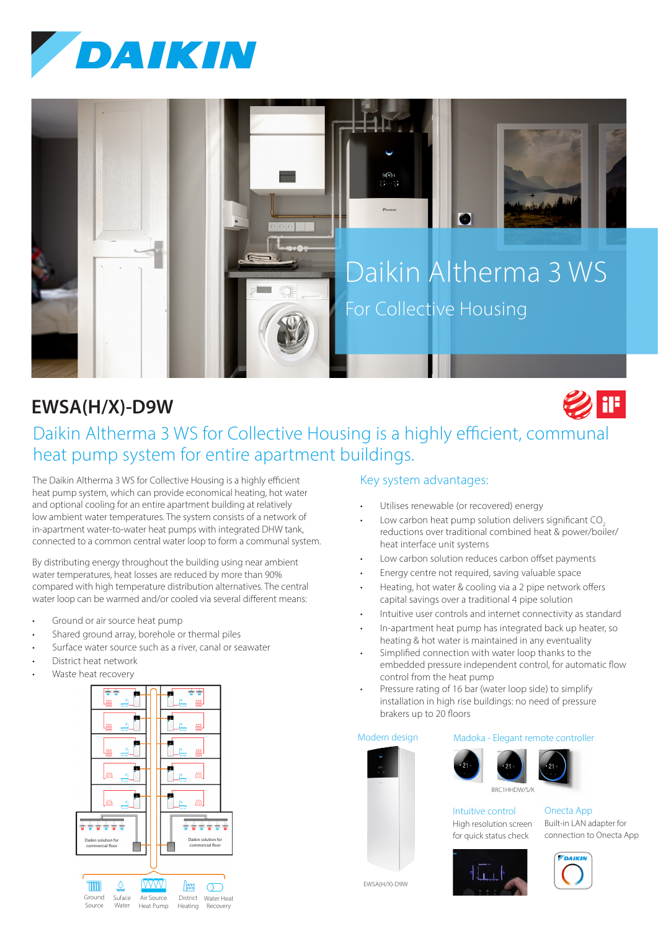



# **EWSA(H/X)-D9W**



# Daikin Altherma 3 WS for Collective Housing is a highly efficient, communal heat pump system for entire apartment buildings.

The Daikin Altherma 3 WS for Collective Housing is a highly efficient heat pump system, which can provide economical heating, hot water and optional cooling for an entire apartment building at relatively low ambient water temperatures. The system consists of a network of in-apartment water-to-water heat pumps with integrated DHW tank, connected to a common central water loop to form a communal system.

By distributing energy throughout the building using near ambient water temperatures, heat losses are reduced by more than 90% compared with high temperature distribution alternatives. The central water loop can be warmed and/or cooled via several different means:

- Ground or air source heat pump
- Shared ground array, borehole or thermal piles
- Surface water source such as a river, canal or seawater
- District heat network
- Waste heat recovery



## Key system advantages:

- Utilises renewable (or recovered) energy
- Low carbon heat pump solution delivers significant CO<sub>2</sub> reductions over traditional combined heat & power/boiler/ heat interface unit systems
- Low carbon solution reduces carbon offset payments
- Energy centre not required, saving valuable space
- Heating, hot water & cooling via a 2 pipe network offers capital savings over a traditional 4 pipe solution
- Intuitive user controls and internet connectivity as standard
- In-apartment heat pump has integrated back up heater, so heating & hot water is maintained in any eventuality
- Simplified connection with water loop thanks to the embedded pressure independent control, for automatic flow control from the heat pump
- Pressure rating of 16 bar (water loop side) to simplify installation in high rise buildings: no need of pressure brakers up to 20 floors

### Modern design





Intuitive control High resolution screen

Onecta App Built-in LAN adapter for connection to Onecta App



for quick status check



EWSA(H/X)-D9W